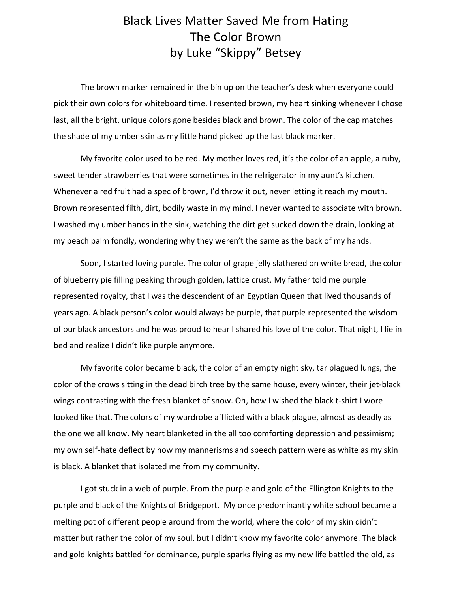## Black Lives Matter Saved Me from Hating The Color Brown by Luke "Skippy" Betsey

The brown marker remained in the bin up on the teacher's desk when everyone could pick their own colors for whiteboard time. I resented brown, my heart sinking whenever I chose last, all the bright, unique colors gone besides black and brown. The color of the cap matches the shade of my umber skin as my little hand picked up the last black marker.

My favorite color used to be red. My mother loves red, it's the color of an apple, a ruby, sweet tender strawberries that were sometimes in the refrigerator in my aunt's kitchen. Whenever a red fruit had a spec of brown, I'd throw it out, never letting it reach my mouth. Brown represented filth, dirt, bodily waste in my mind. I never wanted to associate with brown. I washed my umber hands in the sink, watching the dirt get sucked down the drain, looking at my peach palm fondly, wondering why they weren't the same as the back of my hands.

Soon, I started loving purple. The color of grape jelly slathered on white bread, the color of blueberry pie filling peaking through golden, lattice crust. My father told me purple represented royalty, that I was the descendent of an Egyptian Queen that lived thousands of years ago. A black person's color would always be purple, that purple represented the wisdom of our black ancestors and he was proud to hear I shared his love of the color. That night, I lie in bed and realize I didn't like purple anymore.

My favorite color became black, the color of an empty night sky, tar plagued lungs, the color of the crows sitting in the dead birch tree by the same house, every winter, their jet-black wings contrasting with the fresh blanket of snow. Oh, how I wished the black t-shirt I wore looked like that. The colors of my wardrobe afflicted with a black plague, almost as deadly as the one we all know. My heart blanketed in the all too comforting depression and pessimism; my own self-hate deflect by how my mannerisms and speech pattern were as white as my skin is black. A blanket that isolated me from my community.

I got stuck in a web of purple. From the purple and gold of the Ellington Knights to the purple and black of the Knights of Bridgeport. My once predominantly white school became a melting pot of different people around from the world, where the color of my skin didn't matter but rather the color of my soul, but I didn't know my favorite color anymore. The black and gold knights battled for dominance, purple sparks flying as my new life battled the old, as